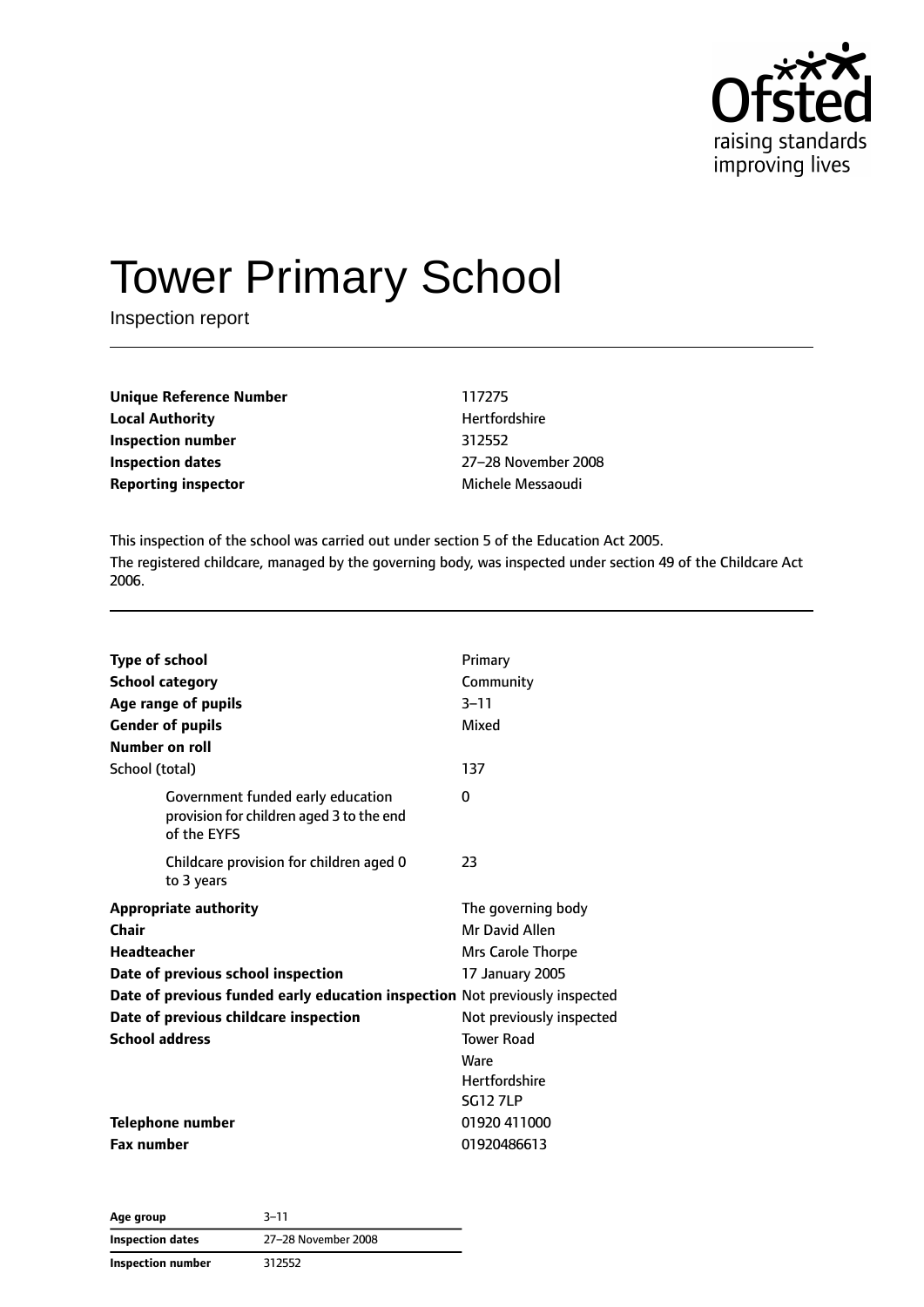

# Tower Primary School

Inspection report

| <b>Unique Reference Number</b> | 117275     |
|--------------------------------|------------|
| <b>Local Authority</b>         | Hertfor    |
| Inspection number              | 312552     |
| Inspection dates               | $27 - 281$ |
| <b>Reporting inspector</b>     | Michele    |

**Unique Reference Number** 117275 **Hertfordshire Inspection dates** 27–28 November 2008 **Michele Messaoudi** 

This inspection of the school was carried out under section 5 of the Education Act 2005. The registered childcare, managed by the governing body, was inspected under section 49 of the Childcare Act 2006.

| <b>Type of school</b><br><b>School category</b>                                              | Primary<br>Community     |
|----------------------------------------------------------------------------------------------|--------------------------|
| Age range of pupils                                                                          | $3 - 11$                 |
| <b>Gender of pupils</b>                                                                      | Mixed                    |
| Number on roll                                                                               |                          |
| School (total)                                                                               | 137                      |
| Government funded early education<br>provision for children aged 3 to the end<br>of the EYFS | 0                        |
| Childcare provision for children aged 0<br>to 3 years                                        | 23                       |
| <b>Appropriate authority</b>                                                                 | The governing body       |
| Chair                                                                                        | Mr David Allen           |
| Headteacher                                                                                  | Mrs Carole Thorpe        |
| Date of previous school inspection                                                           | 17 January 2005          |
| Date of previous funded early education inspection Not previously inspected                  |                          |
| Date of previous childcare inspection                                                        | Not previously inspected |
| <b>School address</b>                                                                        | <b>Tower Road</b>        |
|                                                                                              | Ware                     |
|                                                                                              | <b>Hertfordshire</b>     |
|                                                                                              | <b>SG12 7LP</b>          |
| Telephone number                                                                             | 01920 411000             |
| <b>Fax number</b>                                                                            | 01920486613              |

| Age group         | $3 - 11$            |
|-------------------|---------------------|
| Inspection dates  | 27-28 November 2008 |
| Inspection number | 312552              |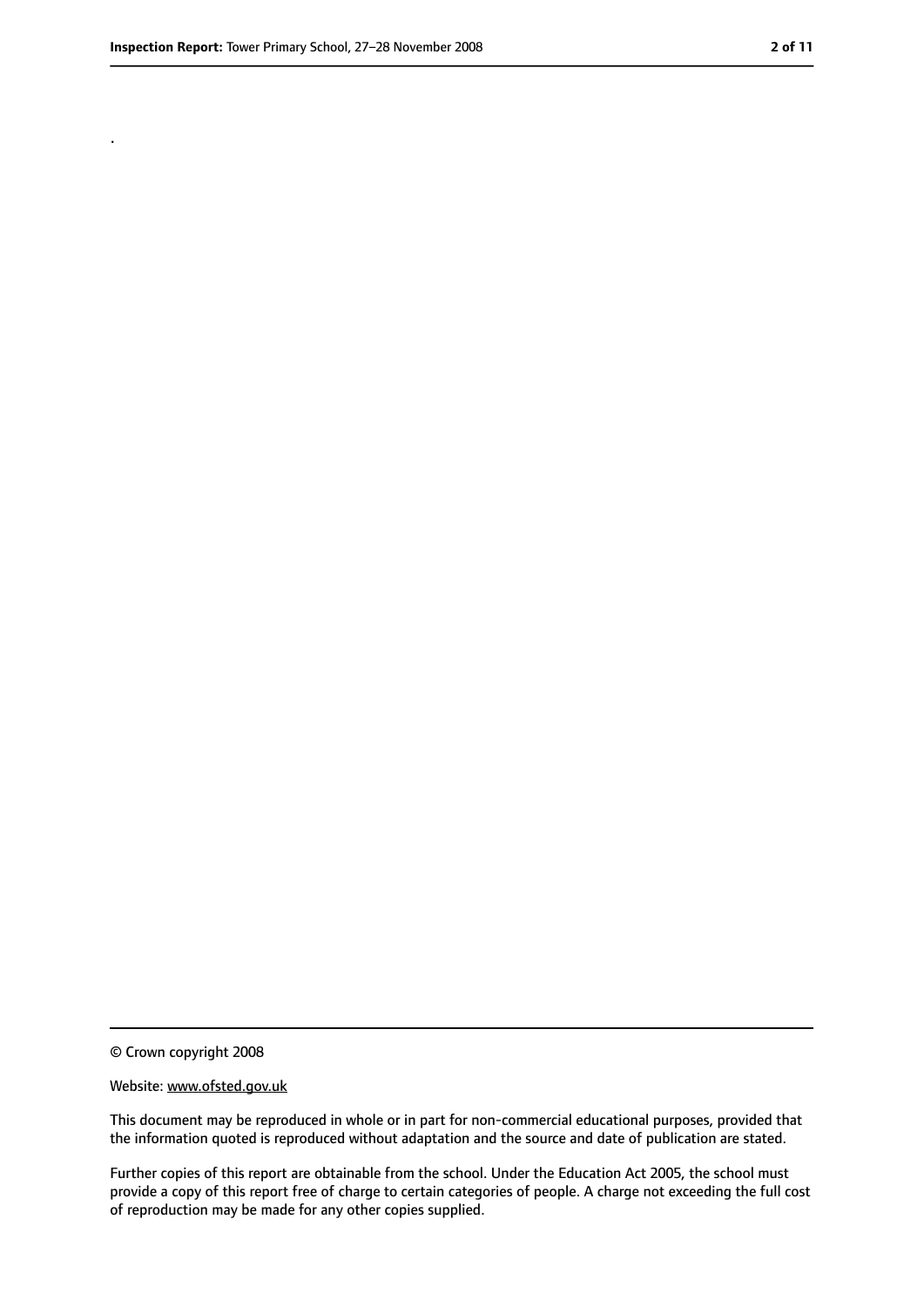.

<sup>©</sup> Crown copyright 2008

Website: www.ofsted.gov.uk

This document may be reproduced in whole or in part for non-commercial educational purposes, provided that the information quoted is reproduced without adaptation and the source and date of publication are stated.

Further copies of this report are obtainable from the school. Under the Education Act 2005, the school must provide a copy of this report free of charge to certain categories of people. A charge not exceeding the full cost of reproduction may be made for any other copies supplied.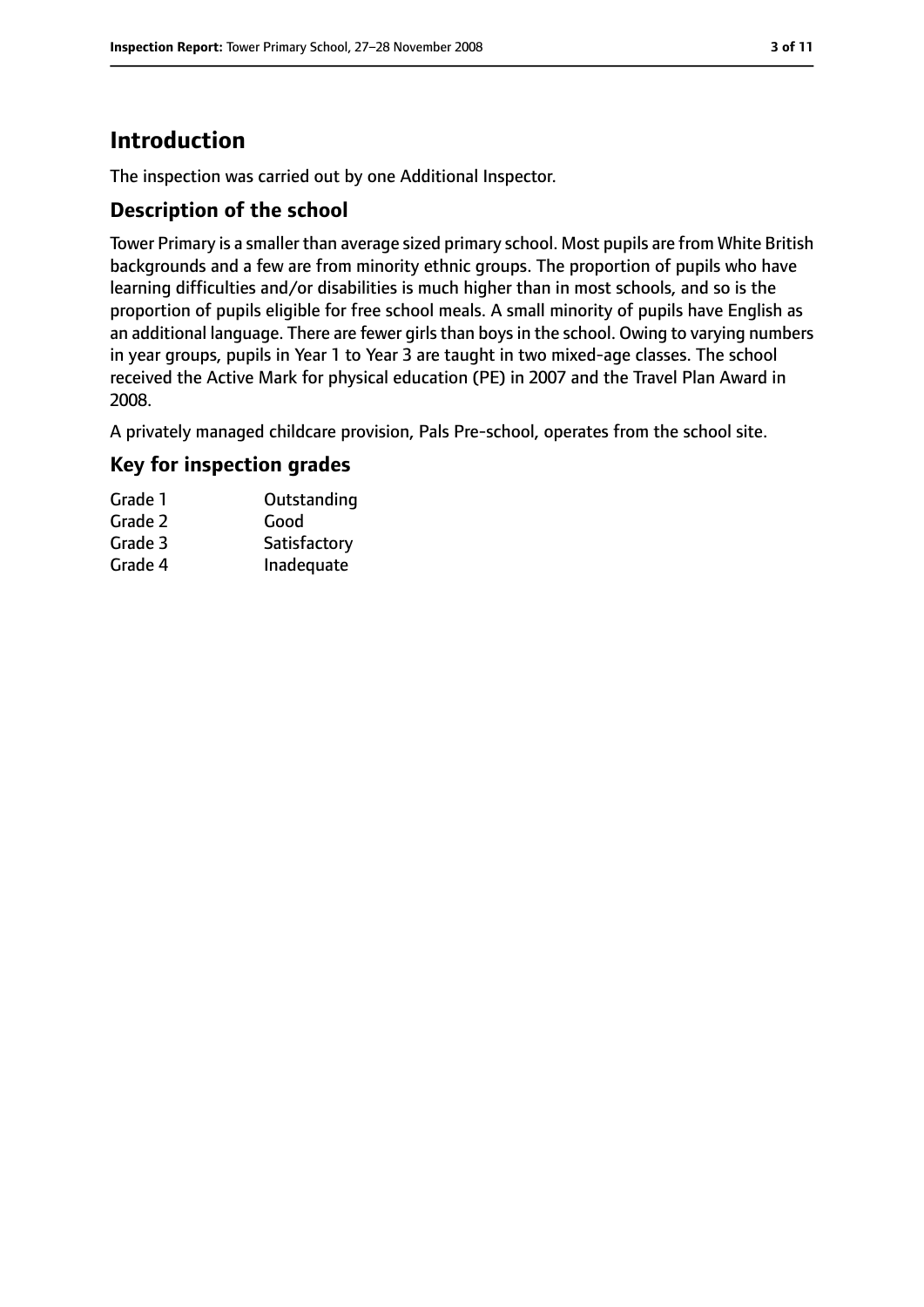# **Introduction**

The inspection was carried out by one Additional Inspector.

## **Description of the school**

Tower Primary is a smaller than average sized primary school. Most pupils are from White British backgrounds and a few are from minority ethnic groups. The proportion of pupils who have learning difficulties and/or disabilities is much higher than in most schools, and so is the proportion of pupils eligible for free school meals. A small minority of pupils have English as an additional language. There are fewer girls than boys in the school. Owing to varying numbers in year groups, pupils in Year 1 to Year 3 are taught in two mixed-age classes. The school received the Active Mark for physical education (PE) in 2007 and the Travel Plan Award in 2008.

A privately managed childcare provision, Pals Pre-school, operates from the school site.

## **Key for inspection grades**

| Grade 1 | Outstanding  |
|---------|--------------|
| Grade 2 | Good         |
| Grade 3 | Satisfactory |
| Grade 4 | Inadequate   |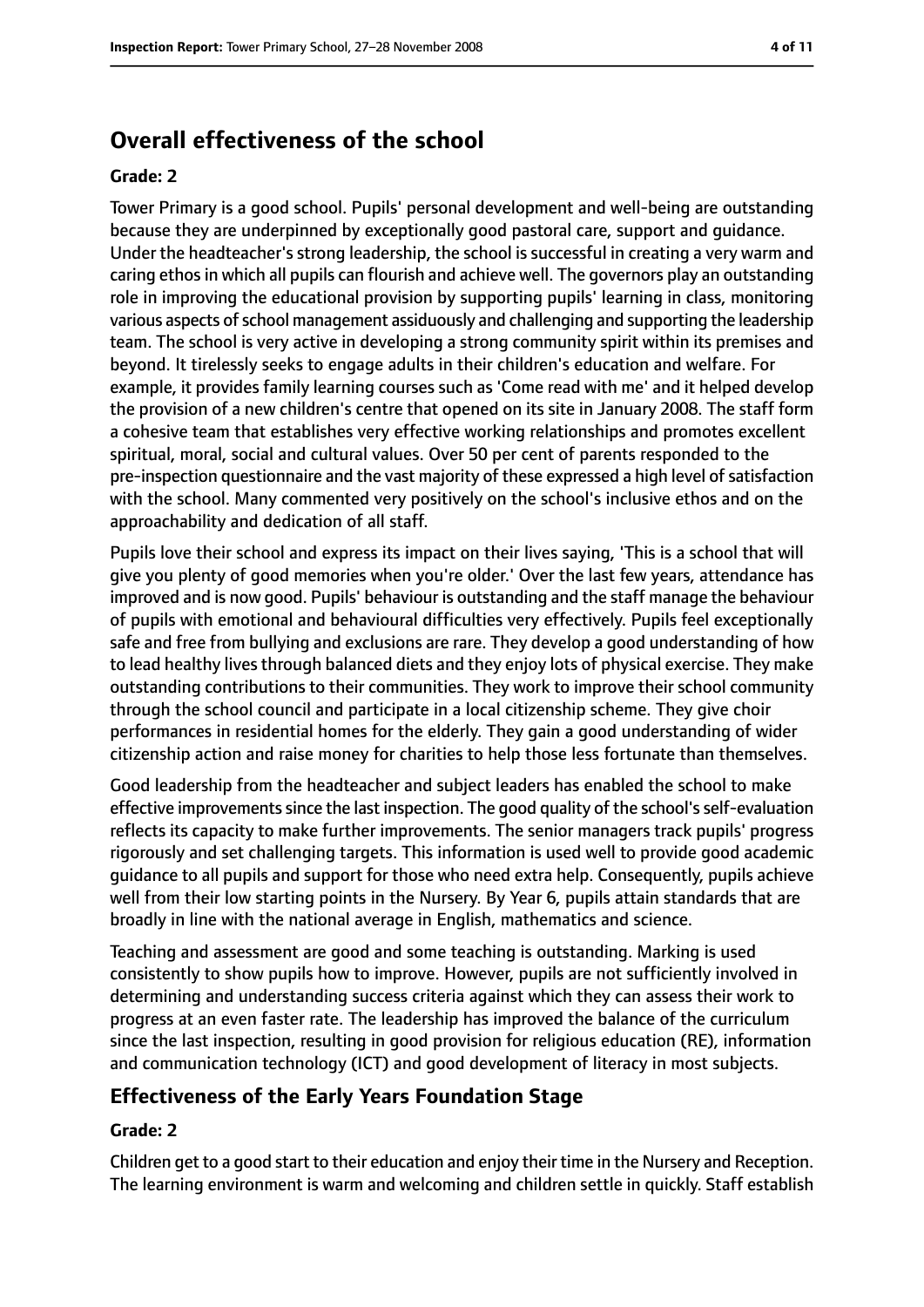# **Overall effectiveness of the school**

#### **Grade: 2**

Tower Primary is a good school. Pupils' personal development and well-being are outstanding because they are underpinned by exceptionally good pastoral care, support and guidance. Under the headteacher's strong leadership, the school is successful in creating a very warm and caring ethos in which all pupils can flourish and achieve well. The governors play an outstanding role in improving the educational provision by supporting pupils' learning in class, monitoring various aspects of school management assiduously and challenging and supporting the leadership team. The school is very active in developing a strong community spirit within its premises and beyond. It tirelessly seeks to engage adults in their children's education and welfare. For example, it provides family learning courses such as 'Come read with me' and it helped develop the provision of a new children's centre that opened on its site in January 2008. The staff form a cohesive team that establishes very effective working relationships and promotes excellent spiritual, moral, social and cultural values. Over 50 per cent of parents responded to the pre-inspection questionnaire and the vast majority of these expressed a high level of satisfaction with the school. Many commented very positively on the school's inclusive ethos and on the approachability and dedication of all staff.

Pupils love their school and express its impact on their lives saying, 'This is a school that will give you plenty of good memories when you're older.' Over the last few years, attendance has improved and is now good. Pupils' behaviour is outstanding and the staff manage the behaviour of pupils with emotional and behavioural difficulties very effectively. Pupils feel exceptionally safe and free from bullying and exclusions are rare. They develop a good understanding of how to lead healthy lives through balanced diets and they enjoy lots of physical exercise. They make outstanding contributions to their communities. They work to improve their school community through the school council and participate in a local citizenship scheme. They give choir performances in residential homes for the elderly. They gain a good understanding of wider citizenship action and raise money for charities to help those less fortunate than themselves.

Good leadership from the headteacher and subject leaders has enabled the school to make effective improvements since the last inspection. The good quality of the school's self-evaluation reflects its capacity to make further improvements. The senior managers track pupils' progress rigorously and set challenging targets. This information is used well to provide good academic guidance to all pupils and support for those who need extra help. Consequently, pupils achieve well from their low starting points in the Nursery. By Year 6, pupils attain standards that are broadly in line with the national average in English, mathematics and science.

Teaching and assessment are good and some teaching is outstanding. Marking is used consistently to show pupils how to improve. However, pupils are not sufficiently involved in determining and understanding success criteria against which they can assess their work to progress at an even faster rate. The leadership has improved the balance of the curriculum since the last inspection, resulting in good provision for religious education (RE), information and communication technology (ICT) and good development of literacy in most subjects.

## **Effectiveness of the Early Years Foundation Stage**

#### **Grade: 2**

Children get to a good start to their education and enjoy their time in the Nursery and Reception. The learning environment is warm and welcoming and children settle in quickly. Staff establish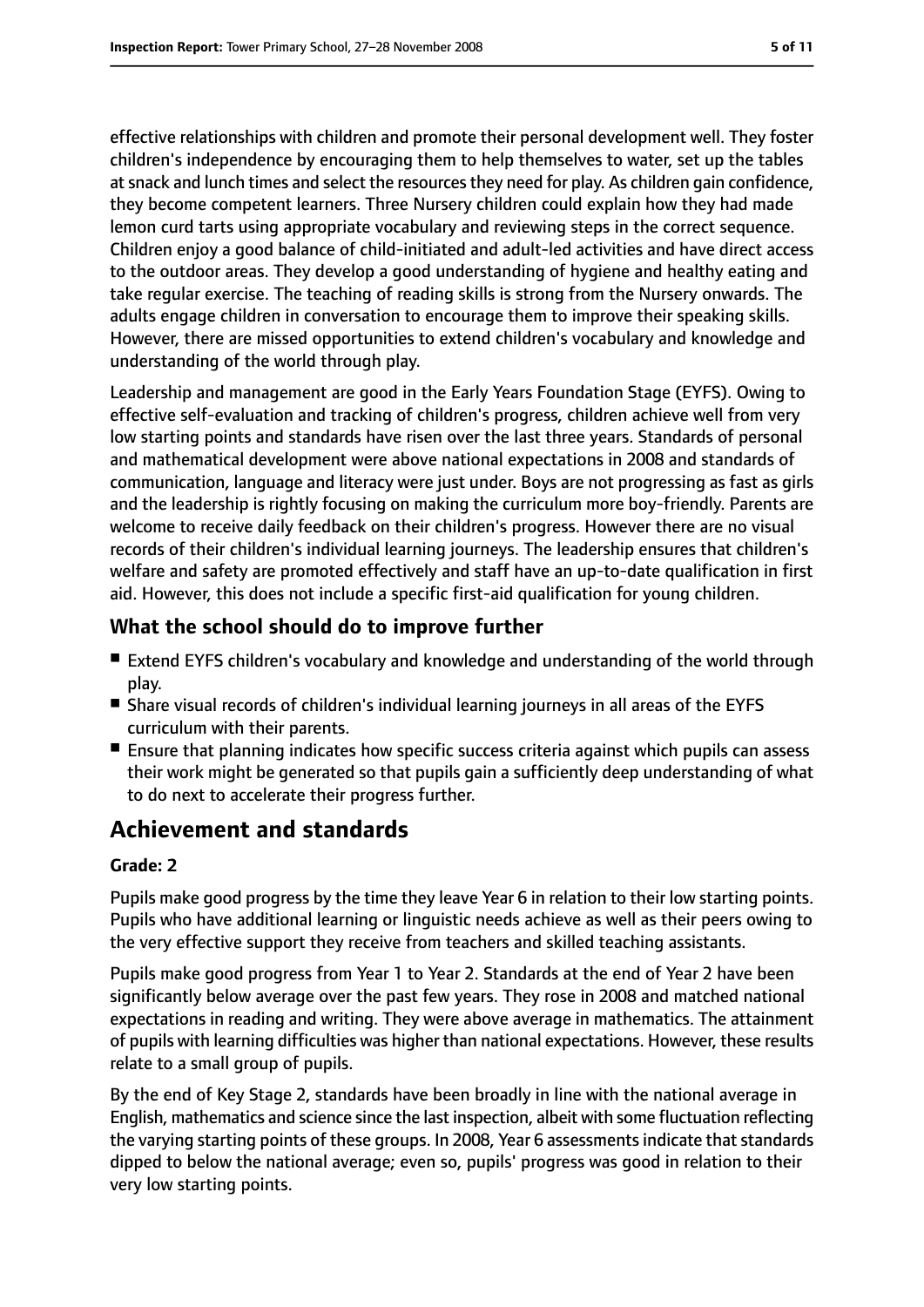effective relationships with children and promote their personal development well. They foster children's independence by encouraging them to help themselves to water, set up the tables at snack and lunch times and select the resources they need for play. As children gain confidence, they become competent learners. Three Nursery children could explain how they had made lemon curd tarts using appropriate vocabulary and reviewing steps in the correct sequence. Children enjoy a good balance of child-initiated and adult-led activities and have direct access to the outdoor areas. They develop a good understanding of hygiene and healthy eating and take regular exercise. The teaching of reading skills is strong from the Nursery onwards. The adults engage children in conversation to encourage them to improve their speaking skills. However, there are missed opportunities to extend children's vocabulary and knowledge and understanding of the world through play.

Leadership and management are good in the Early Years Foundation Stage (EYFS). Owing to effective self-evaluation and tracking of children's progress, children achieve well from very low starting points and standards have risen over the last three years. Standards of personal and mathematical development were above national expectations in 2008 and standards of communication, language and literacy were just under. Boys are not progressing as fast as girls and the leadership is rightly focusing on making the curriculum more boy-friendly. Parents are welcome to receive daily feedback on their children's progress. However there are no visual records of their children's individual learning journeys. The leadership ensures that children's welfare and safety are promoted effectively and staff have an up-to-date qualification in first aid. However, this does not include a specific first-aid qualification for young children.

## **What the school should do to improve further**

- Extend EYFS children's vocabulary and knowledge and understanding of the world through play.
- Share visual records of children's individual learning journeys in all areas of the EYFS curriculum with their parents.
- Ensure that planning indicates how specific success criteria against which pupils can assess their work might be generated so that pupils gain a sufficiently deep understanding of what to do next to accelerate their progress further.

# **Achievement and standards**

#### **Grade: 2**

Pupils make good progress by the time they leave Year 6 in relation to their low starting points. Pupils who have additional learning or linguistic needs achieve as well as their peers owing to the very effective support they receive from teachers and skilled teaching assistants.

Pupils make good progress from Year 1 to Year 2. Standards at the end of Year 2 have been significantly below average over the past few years. They rose in 2008 and matched national expectations in reading and writing. They were above average in mathematics. The attainment of pupils with learning difficulties was higher than national expectations. However, these results relate to a small group of pupils.

By the end of Key Stage 2, standards have been broadly in line with the national average in English, mathematics and science since the last inspection, albeit with some fluctuation reflecting the varying starting points of these groups. In 2008, Year 6 assessments indicate that standards dipped to below the national average; even so, pupils' progress was good in relation to their very low starting points.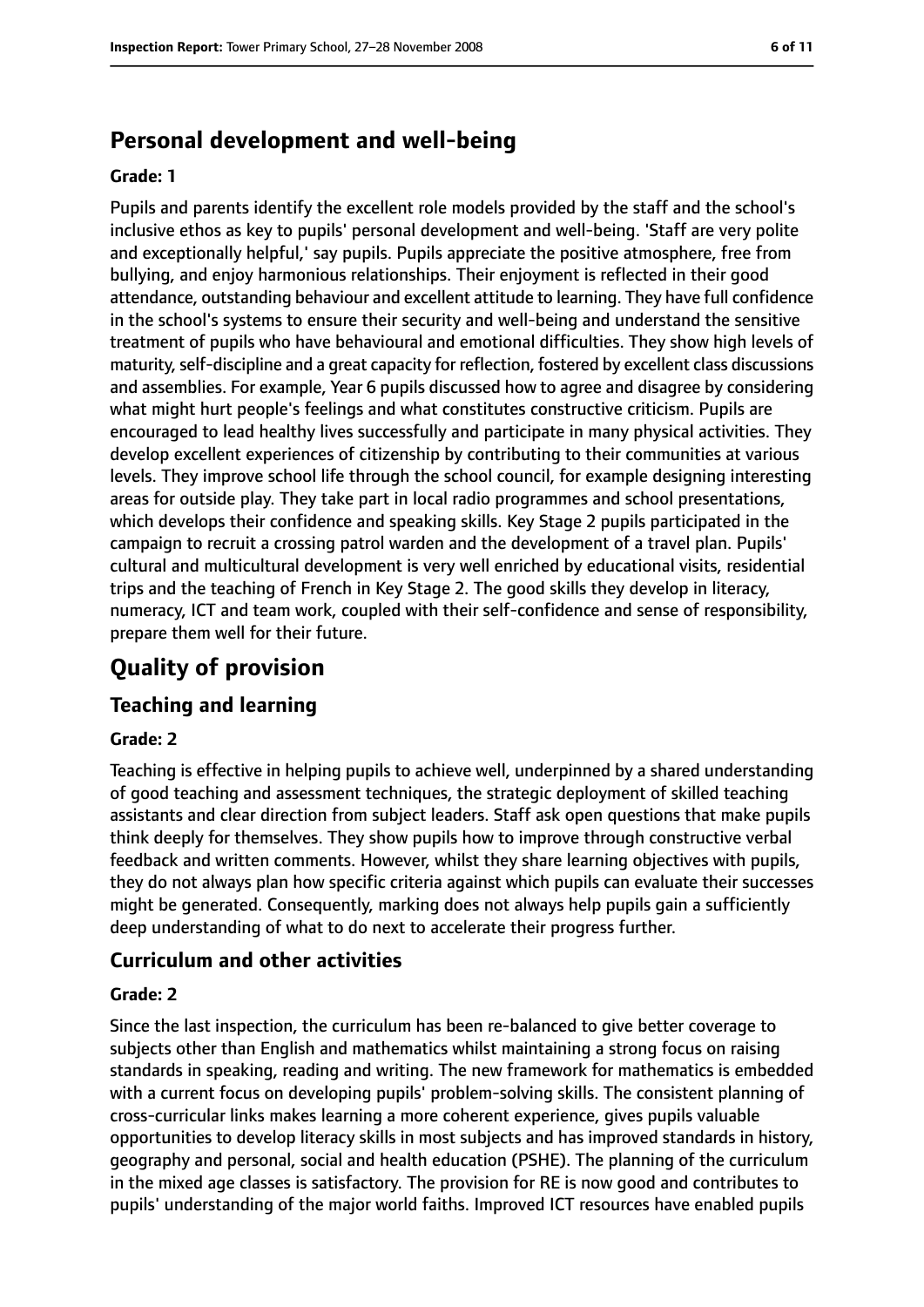# **Personal development and well-being**

#### **Grade: 1**

Pupils and parents identify the excellent role models provided by the staff and the school's inclusive ethos as key to pupils' personal development and well-being. 'Staff are very polite and exceptionally helpful,' say pupils. Pupils appreciate the positive atmosphere, free from bullying, and enjoy harmonious relationships. Their enjoyment is reflected in their good attendance, outstanding behaviour and excellent attitude to learning. They have full confidence in the school's systems to ensure their security and well-being and understand the sensitive treatment of pupils who have behavioural and emotional difficulties. They show high levels of maturity, self-discipline and a great capacity for reflection, fostered by excellent class discussions and assemblies. For example, Year 6 pupils discussed how to agree and disagree by considering what might hurt people's feelings and what constitutes constructive criticism. Pupils are encouraged to lead healthy lives successfully and participate in many physical activities. They develop excellent experiences of citizenship by contributing to their communities at various levels. They improve school life through the school council, for example designing interesting areas for outside play. They take part in local radio programmes and school presentations, which develops their confidence and speaking skills. Key Stage 2 pupils participated in the campaign to recruit a crossing patrol warden and the development of a travel plan. Pupils' cultural and multicultural development is very well enriched by educational visits, residential trips and the teaching of French in Key Stage 2. The good skills they develop in literacy, numeracy, ICT and team work, coupled with their self-confidence and sense of responsibility, prepare them well for their future.

# **Quality of provision**

#### **Teaching and learning**

#### **Grade: 2**

Teaching is effective in helping pupils to achieve well, underpinned by a shared understanding of good teaching and assessment techniques, the strategic deployment of skilled teaching assistants and clear direction from subject leaders. Staff ask open questions that make pupils think deeply for themselves. They show pupils how to improve through constructive verbal feedback and written comments. However, whilst they share learning objectives with pupils, they do not always plan how specific criteria against which pupils can evaluate their successes might be generated. Consequently, marking does not always help pupils gain a sufficiently deep understanding of what to do next to accelerate their progress further.

#### **Curriculum and other activities**

#### **Grade: 2**

Since the last inspection, the curriculum has been re-balanced to give better coverage to subjects other than English and mathematics whilst maintaining a strong focus on raising standards in speaking, reading and writing. The new framework for mathematics is embedded with a current focus on developing pupils' problem-solving skills. The consistent planning of cross-curricular links makes learning a more coherent experience, gives pupils valuable opportunities to develop literacy skills in most subjects and has improved standards in history, geography and personal, social and health education (PSHE). The planning of the curriculum in the mixed age classes is satisfactory. The provision for RE is now good and contributes to pupils' understanding of the major world faiths. Improved ICT resources have enabled pupils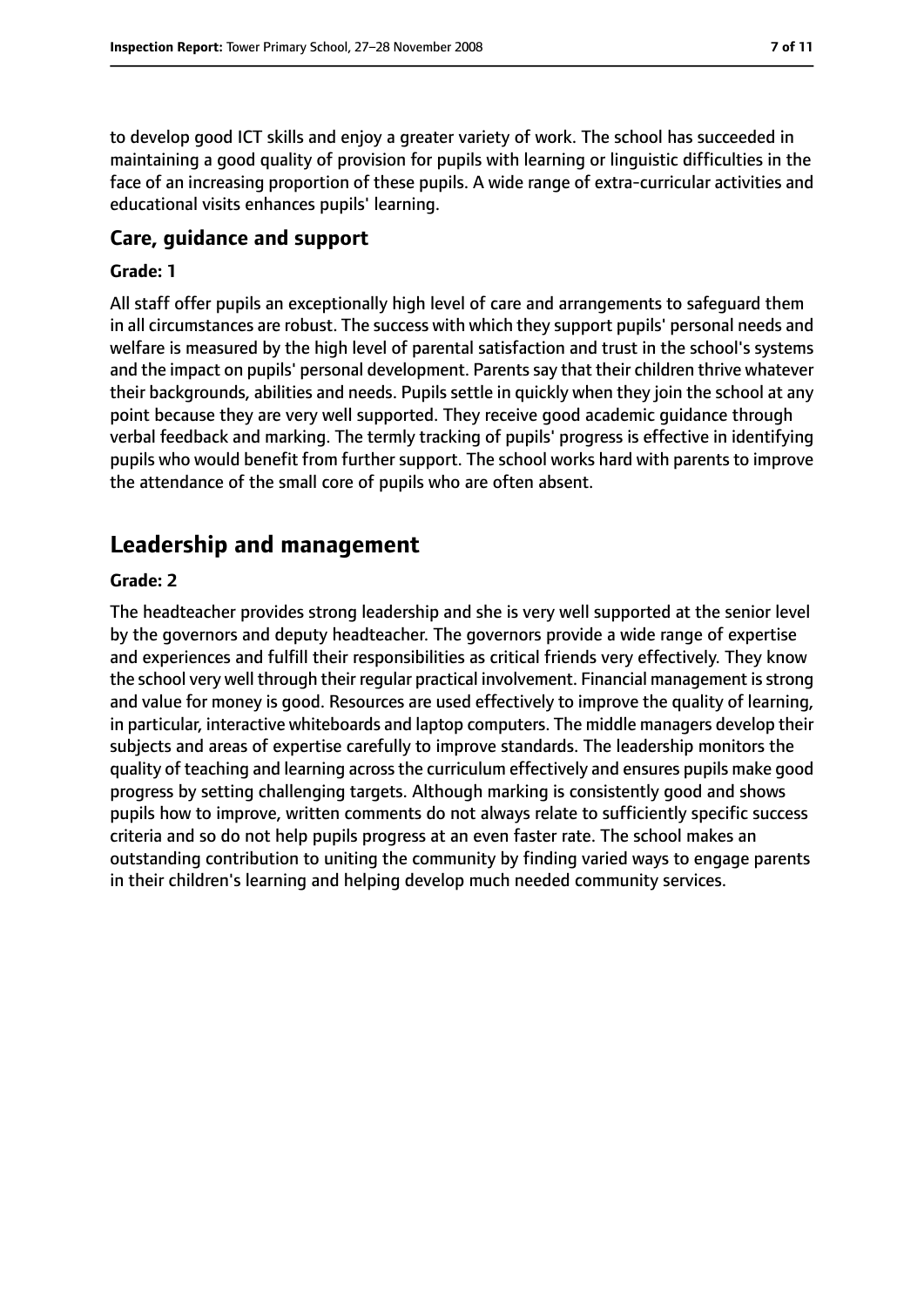to develop good ICT skills and enjoy a greater variety of work. The school has succeeded in maintaining a good quality of provision for pupils with learning or linguistic difficulties in the face of an increasing proportion of these pupils. A wide range of extra-curricular activities and educational visits enhances pupils' learning.

#### **Care, guidance and support**

#### **Grade: 1**

All staff offer pupils an exceptionally high level of care and arrangements to safeguard them in all circumstances are robust. The success with which they support pupils' personal needs and welfare is measured by the high level of parental satisfaction and trust in the school's systems and the impact on pupils' personal development. Parents say that their children thrive whatever their backgrounds, abilities and needs. Pupils settle in quickly when they join the school at any point because they are very well supported. They receive good academic guidance through verbal feedback and marking. The termly tracking of pupils' progress is effective in identifying pupils who would benefit from further support. The school works hard with parents to improve the attendance of the small core of pupils who are often absent.

# **Leadership and management**

#### **Grade: 2**

The headteacher provides strong leadership and she is very well supported at the senior level by the governors and deputy headteacher. The governors provide a wide range of expertise and experiences and fulfill their responsibilities as critical friends very effectively. They know the school very well through their regular practical involvement. Financial management isstrong and value for money is good. Resources are used effectively to improve the quality of learning, in particular, interactive whiteboards and laptop computers. The middle managers develop their subjects and areas of expertise carefully to improve standards. The leadership monitors the quality of teaching and learning across the curriculum effectively and ensures pupils make good progress by setting challenging targets. Although marking is consistently good and shows pupils how to improve, written comments do not always relate to sufficiently specific success criteria and so do not help pupils progress at an even faster rate. The school makes an outstanding contribution to uniting the community by finding varied ways to engage parents in their children's learning and helping develop much needed community services.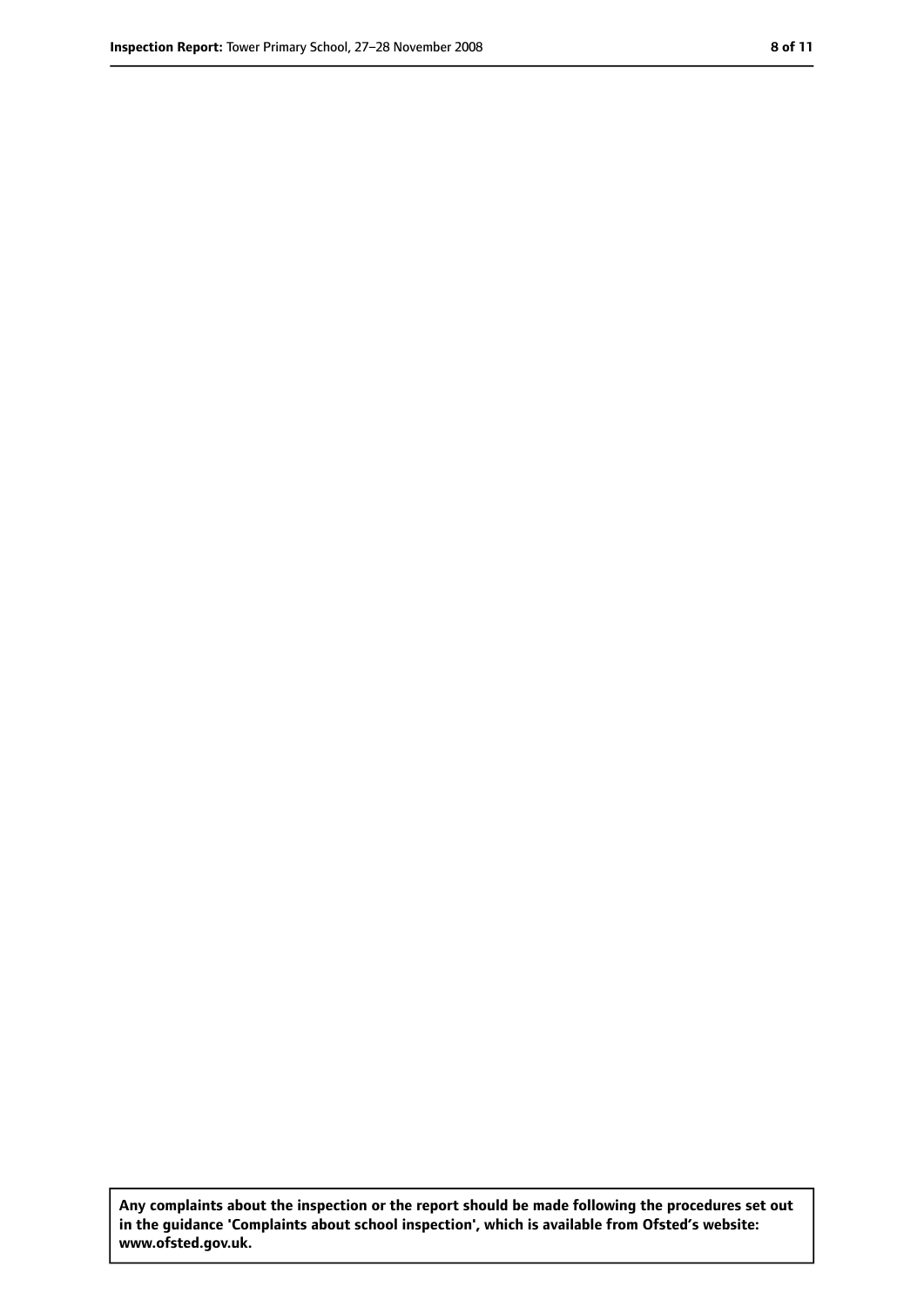**Any complaints about the inspection or the report should be made following the procedures set out in the guidance 'Complaints about school inspection', which is available from Ofsted's website: www.ofsted.gov.uk.**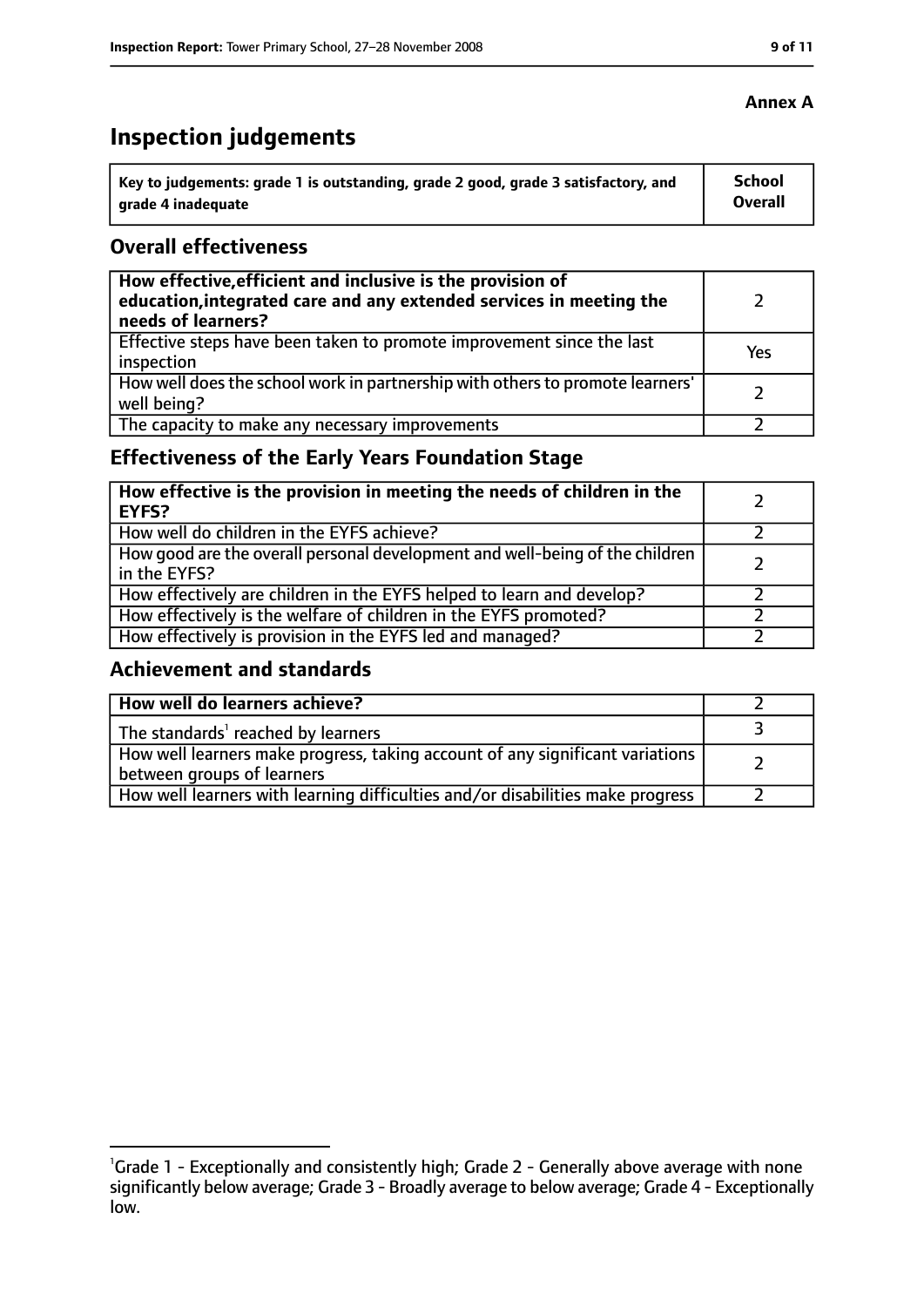# **Inspection judgements**

| ˈ Key to judgements: grade 1 is outstanding, grade 2 good, grade 3 satisfactory, and | School         |
|--------------------------------------------------------------------------------------|----------------|
| grade 4 inadequate                                                                   | <b>Overall</b> |

#### **Overall effectiveness**

| How effective, efficient and inclusive is the provision of<br>education, integrated care and any extended services in meeting the<br>needs of learners? |     |
|---------------------------------------------------------------------------------------------------------------------------------------------------------|-----|
| Effective steps have been taken to promote improvement since the last<br>inspection                                                                     | Yes |
| How well does the school work in partnership with others to promote learners'<br>well being?                                                            |     |
| The capacity to make any necessary improvements                                                                                                         |     |

# **Effectiveness of the Early Years Foundation Stage**

| How effective is the provision in meeting the needs of children in the<br>l EYFS?            |  |
|----------------------------------------------------------------------------------------------|--|
| How well do children in the EYFS achieve?                                                    |  |
| How good are the overall personal development and well-being of the children<br>in the EYFS? |  |
| How effectively are children in the EYFS helped to learn and develop?                        |  |
| How effectively is the welfare of children in the EYFS promoted?                             |  |
| How effectively is provision in the EYFS led and managed?                                    |  |

#### **Achievement and standards**

| How well do learners achieve?                                                                               |  |
|-------------------------------------------------------------------------------------------------------------|--|
| The standards <sup>1</sup> reached by learners                                                              |  |
| How well learners make progress, taking account of any significant variations<br>between groups of learners |  |
| How well learners with learning difficulties and/or disabilities make progress                              |  |

## **Annex A**

<sup>&</sup>lt;sup>1</sup>Grade 1 - Exceptionally and consistently high; Grade 2 - Generally above average with none significantly below average; Grade 3 - Broadly average to below average; Grade 4 - Exceptionally low.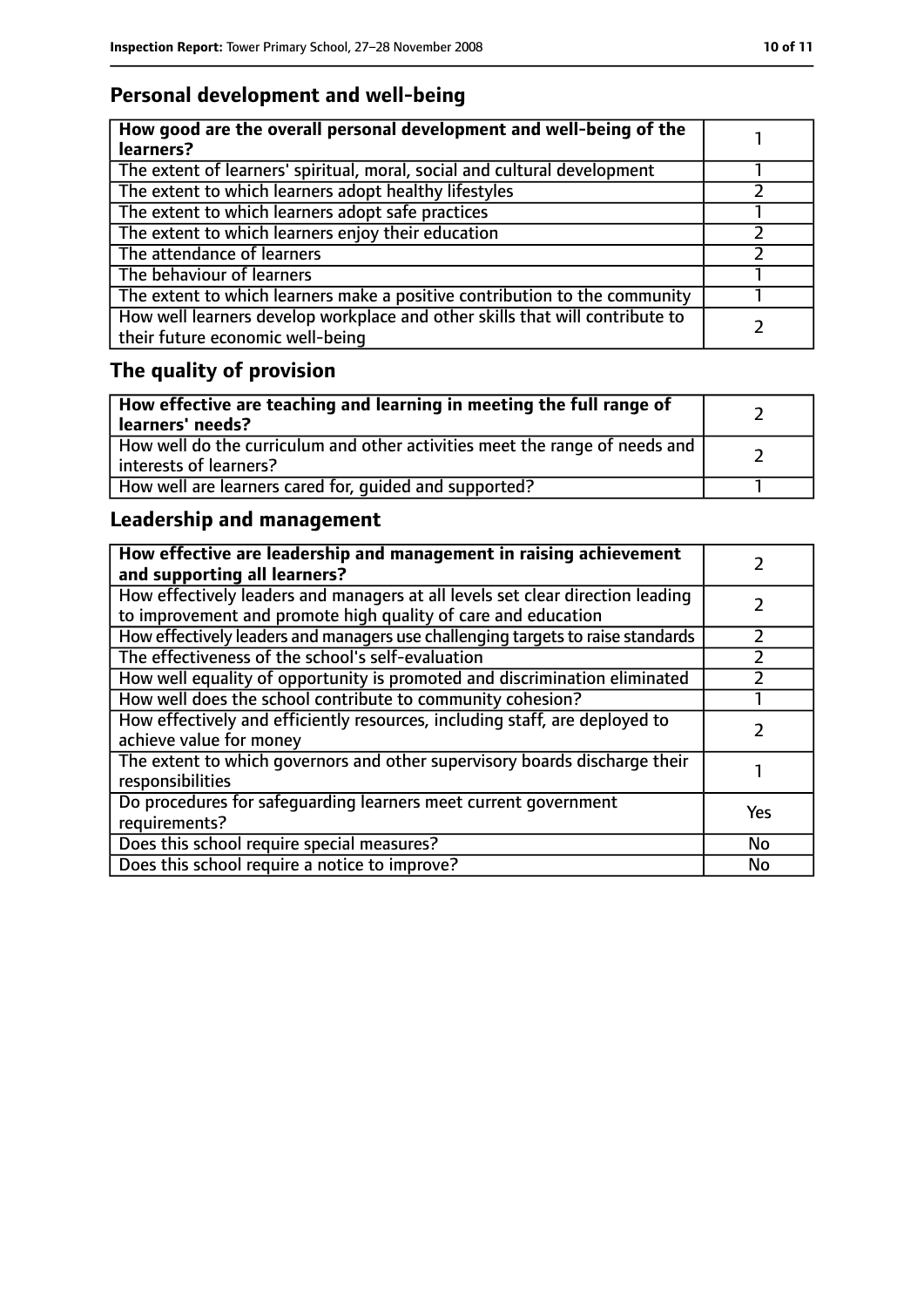# **Personal development and well-being**

| How good are the overall personal development and well-being of the<br>learners?                                 |  |
|------------------------------------------------------------------------------------------------------------------|--|
| The extent of learners' spiritual, moral, social and cultural development                                        |  |
| The extent to which learners adopt healthy lifestyles                                                            |  |
| The extent to which learners adopt safe practices                                                                |  |
| The extent to which learners enjoy their education                                                               |  |
| The attendance of learners                                                                                       |  |
| The behaviour of learners                                                                                        |  |
| The extent to which learners make a positive contribution to the community                                       |  |
| How well learners develop workplace and other skills that will contribute to<br>their future economic well-being |  |

# **The quality of provision**

| How effective are teaching and learning in meeting the full range of<br>learners' needs?              |  |
|-------------------------------------------------------------------------------------------------------|--|
| How well do the curriculum and other activities meet the range of needs and<br>interests of learners? |  |
| How well are learners cared for, quided and supported?                                                |  |

# **Leadership and management**

| How effective are leadership and management in raising achievement<br>and supporting all learners?                                              |     |
|-------------------------------------------------------------------------------------------------------------------------------------------------|-----|
| How effectively leaders and managers at all levels set clear direction leading<br>to improvement and promote high quality of care and education |     |
| How effectively leaders and managers use challenging targets to raise standards                                                                 |     |
| The effectiveness of the school's self-evaluation                                                                                               |     |
| How well equality of opportunity is promoted and discrimination eliminated                                                                      |     |
| How well does the school contribute to community cohesion?                                                                                      |     |
| How effectively and efficiently resources, including staff, are deployed to<br>achieve value for money                                          |     |
| The extent to which governors and other supervisory boards discharge their<br>responsibilities                                                  |     |
| Do procedures for safequarding learners meet current government<br>requirements?                                                                | Yes |
| Does this school require special measures?                                                                                                      | No  |
| Does this school require a notice to improve?                                                                                                   | No  |